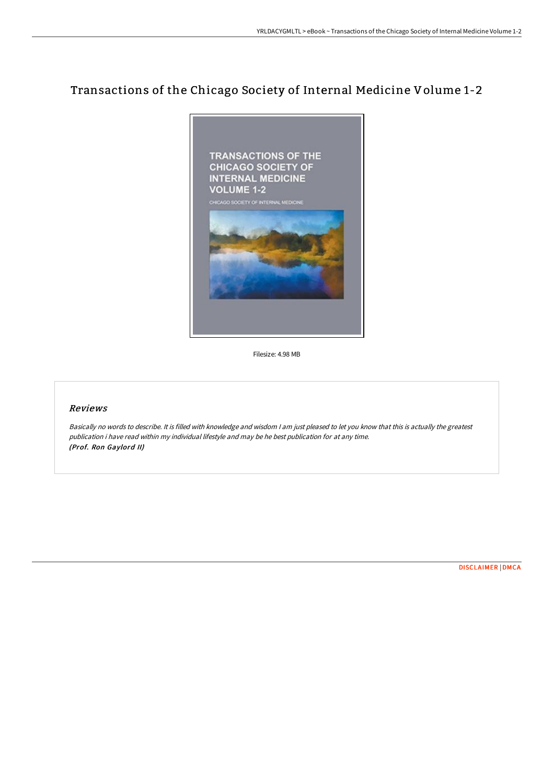# Transactions of the Chicago Society of Internal Medicine Volume 1-2



Filesize: 4.98 MB

## Reviews

Basically no words to describe. It is filled with knowledge and wisdom <sup>I</sup> am just pleased to let you know that this is actually the greatest publication i have read within my individual lifestyle and may be he best publication for at any time. (Prof. Ron Gaylord II)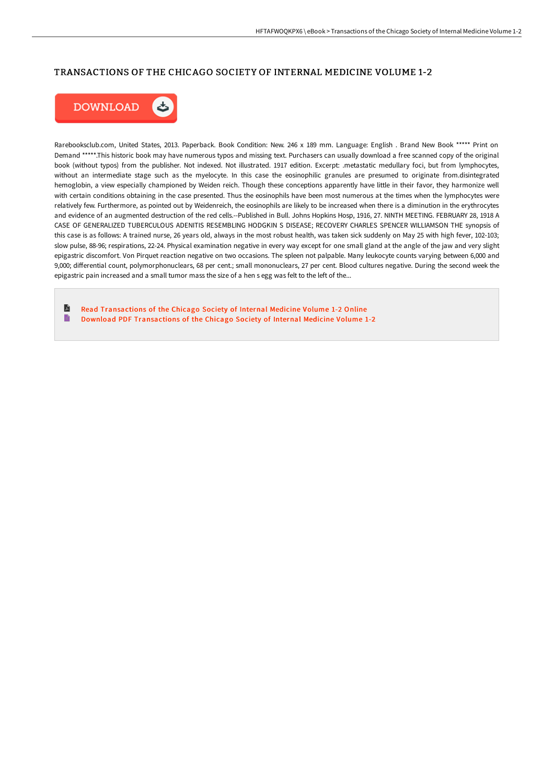## TRANSACTIONS OF THE CHICAGO SOCIETY OF INTERNAL MEDICINE VOLUME 1-2



Rarebooksclub.com, United States, 2013. Paperback. Book Condition: New. 246 x 189 mm. Language: English . Brand New Book \*\*\*\*\* Print on Demand \*\*\*\*\*.This historic book may have numerous typos and missing text. Purchasers can usually download a free scanned copy of the original book (without typos) from the publisher. Not indexed. Not illustrated. 1917 edition. Excerpt: .metastatic medullary foci, but from lymphocytes, without an intermediate stage such as the myelocyte. In this case the eosinophilic granules are presumed to originate from.disintegrated hemoglobin, a view especially championed by Weiden reich. Though these conceptions apparently have little in their favor, they harmonize well with certain conditions obtaining in the case presented. Thus the eosinophils have been most numerous at the times when the lymphocytes were relatively few. Furthermore, as pointed out by Weidenreich, the eosinophils are likely to be increased when there is a diminution in the erythrocytes and evidence of an augmented destruction of the red cells.--Published in Bull. Johns Hopkins Hosp, 1916, 27. NINTH MEETING. FEBRUARY 28, 1918 A CASE OF GENERALIZED TUBERCULOUS ADENITIS RESEMBLING HODGKIN S DISEASE; RECOVERY CHARLES SPENCER WILLIAMSON THE synopsis of this case is as follows: A trained nurse, 26 years old, always in the most robust health, was taken sick suddenly on May 25 with high fever, 102-103; slow pulse, 88-96; respirations, 22-24. Physical examination negative in every way except for one small gland at the angle of the jaw and very slight epigastric discomfort. Von Pirquet reaction negative on two occasions. The spleen not palpable. Many leukocyte counts varying between 6,000 and 9,000; differential count, polymorphonuclears, 68 per cent.; small mononuclears, 27 per cent. Blood cultures negative. During the second week the epigastric pain increased and a small tumor mass the size of a hen s egg was felt to the left of the...

R Read [Transactions](http://digilib.live/transactions-of-the-chicago-society-of-internal-.html) of the Chicago Society of Internal Medicine Volume 1-2 Online E Download PDF [Transactions](http://digilib.live/transactions-of-the-chicago-society-of-internal-.html) of the Chicago Society of Internal Medicine Volume 1-2